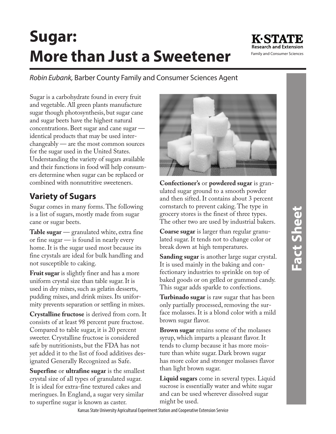# **Sugar: More than Just a Sweetener**



*Robin Eubank,* Barber County Family and Consumer Sciences Agent

Sugar is a carbohydrate found in every fruit and vegetable. All green plants manufacture sugar though photosynthesis, but sugar cane and sugar beets have the highest natural concentrations. Beet sugar and cane sugar identical products that may be used interchangeably — are the most common sources for the sugar used in the United States. Understanding the variety of sugars available and their functions in food will help consumers determine when sugar can be replaced or combined with nonnutritive sweeteners.

## **Variety of Sugars**

Sugar comes in many forms. The following is a list of sugars, mostly made from sugar cane or sugar beets.

**Table sugar** — granulated white, extra fine or fine sugar — is found in nearly every home. It is the sugar used most because its fine crystals are ideal for bulk handling and not susceptible to caking.

**Fruit sugar** is slightly finer and has a more uniform crystal size than table sugar. It is used in dry mixes, such as gelatin desserts, pudding mixes, and drink mixes. Its uniformity prevents separation or settling in mixes.

**Crystalline fructose** is derived from corn. It consists of at least 98 percent pure fructose. Compared to table sugar, it is 20 percent sweeter. Crystalline fructose is considered safe by nutritionists, but the FDA has not yet added it to the list of food additives designated Generally Recognized as Safe.

**Superfine** or **ultrafine sugar** is the smallest crystal size of all types of granulated sugar. It is ideal for extra-fine textured cakes and meringues. In England, a sugar very similar to superfine sugar is known as caster.



**Confectioner's** or **powdered sugar** is granulated sugar ground to a smooth powder and then sifted. It contains about 3 percent cornstarch to prevent caking. The type in grocery stores is the finest of three types. The other two are used by industrial bakers.

**Coarse sugar** is larger than regular granulated sugar. It tends not to change color or break down at high temperatures.

**Sanding sugar** is another large sugar crystal. It is used mainly in the baking and confectionary industries to sprinkle on top of baked goods or on gelled or gummed candy. This sugar adds sparkle to confections.

**Turbinado sugar** is raw sugar that has been only partially processed, removing the surface molasses. It is a blond color with a mild brown sugar flavor.

**Brown sugar** retains some of the molasses syrup, which imparts a pleasant flavor. It tends to clump because it has more moisture than white sugar. Dark brown sugar has more color and stronger molasses flavor than light brown sugar.

**Liquid sugars** come in several types. Liquid sucrose is essentially water and white sugar and can be used wherever dissolved sugar might be used.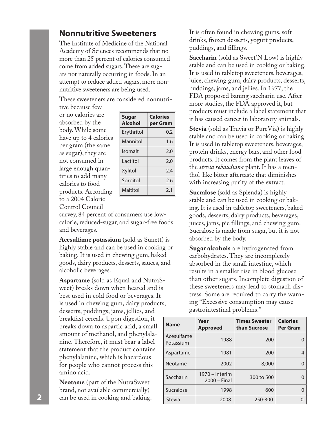#### **Nonnutritive Sweeteners**

The Institute of Medicine of the National Academy of Sciences recommends that no more than 25 percent of calories consumed come from added sugars. These are sugars not naturally occurring in foods. In an attempt to reduce added sugars, more nonnutritive sweeteners are being used.

These sweeteners are considered nonnutri-

tive because few or no calories are absorbed by the body. While some have up to 4 calories per gram (the same as sugar), they are not consumed in large enough quantities to add many calories to food products. According to a 2004 Calorie Control Council

| <b>Sugar</b><br><b>Alcohol</b> | <b>Calories</b><br>per Gram |  |
|--------------------------------|-----------------------------|--|
| Erythritol                     | 0.2                         |  |
| Mannitol                       | 1.6                         |  |
| Isomalt                        | 2.0                         |  |
| Lactitol                       | 2.0                         |  |
| Xylitol                        | 2.4                         |  |
| Sorbitol                       | 2.6                         |  |
| Maltitol                       | 2.1                         |  |

survey, 84 percent of consumers use lowcalorie, reduced-sugar, and sugar-free foods and beverages.

**Acesulfame potassium** (sold as Sunett) is highly stable and can be used in cooking or baking. It is used in chewing gum, baked goods, dairy products, desserts, sauces, and alcoholic beverages.

**Aspartame** (sold as Equal and NutraSweet) breaks down when heated and is best used in cold food or beverages. It is used in chewing gum, dairy products, desserts, puddings, jams, jellies, and breakfast cereals. Upon digestion, it breaks down to aspartic acid, a small amount of methanol, and phenylalanine. Therefore, it must bear a label statement that the product contains phenylalanine, which is hazardous for people who cannot process this amino acid.

**Neotame** (part of the NutraSweet brand, not available commercially) can be used in cooking and baking.

It is often found in chewing gums, soft drinks, frozen desserts, yogurt products, puddings, and fillings.

**Saccharin** (sold as Sweet'N Low) is highly stable and can be used in cooking or baking. It is used in tabletop sweeteners, beverages, juice, chewing gum, dairy products, desserts, puddings, jams, and jellies. In 1977, the FDA proposed baning saccharin use. After more studies, the FDA approved it, but products must include a label statement that it has caused cancer in laboratory animals.

**Stevia** (sold as Truvia or PureVia) is highly stable and can be used in cooking or baking. It is used in tabletop sweeteners, beverages, protein drinks, energy bars, and other food products. It comes from the plant leaves of the *stevia rebaudiana* plant. It has a menthol-like bitter aftertaste that diminishes with increasing purity of the extract.

**Sucralose** (sold as Splenda) is highly stable and can be used in cooking or baking. It is used in tabletop sweeteners, baked goods, desserts, dairy products, beverages, juices, jams, pie fillings, and chewing gum. Sucralose is made from sugar, but it is not absorbed by the body.

**Sugar alcohols** are hydrogenated from carbohydrates. They are incompletely absorbed in the small intestine, which results in a smaller rise in blood glucose than other sugars. Incomplete digestion of these sweeteners may lead to stomach distress. Some are required to carry the warning "Excessive consumption may cause gastrointestinal problems."

| <b>Name</b>             | Year<br><b>Approved</b>          | <b>Times Sweeter</b><br>than Sucrose | <b>Calories</b><br>Per Gram |
|-------------------------|----------------------------------|--------------------------------------|-----------------------------|
| Acesulfame<br>Potassium | 1988                             | 200                                  |                             |
| Aspartame               | 1981                             | 200                                  | 4                           |
| Neotame                 | 2002                             | 8,000                                |                             |
| Saccharin               | 1970 - Interim<br>$2000 - Final$ | 300 to 500                           |                             |
| Sucralose               | 1998                             | 600                                  | O                           |
| Stevia                  | 2008                             | 250-300                              | O                           |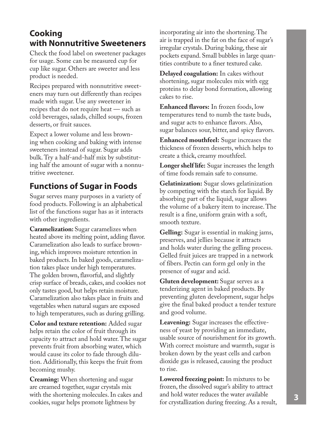### **Cooking with Nonnutritive Sweeteners**

Check the food label on sweetener packages for usage. Some can be measured cup for cup like sugar. Others are sweeter and less product is needed.

Recipes prepared with nonnutritive sweeteners may turn out differently than recipes made with sugar. Use any sweetener in recipes that do not require heat — such as cold beverages, salads, chilled soups, frozen desserts, or fruit sauces.

Expect a lower volume and less browning when cooking and baking with intense sweeteners instead of sugar. Sugar adds bulk. Try a half-and-half mix by substituting half the amount of sugar with a nonnutritive sweetener.

## **Functions of Sugar in Foods**

Sugar serves many purposes in a variety of food products. Following is an alphabetical list of the functions sugar has as it interacts with other ingredients.

**Caramelization:** Sugar caramelizes when heated above its melting point, adding flavor. Caramelization also leads to surface browning, which improves moisture retention in baked products. In baked goods, caramelization takes place under high temperatures. The golden brown, flavorful, and slightly crisp surface of breads, cakes, and cookies not only tastes good, but helps retain moisture. Caramelization also takes place in fruits and vegetables when natural sugars are exposed to high temperatures, such as during grilling.

**Color and texture retention:** Added sugar helps retain the color of fruit through its capacity to attract and hold water. The sugar prevents fruit from absorbing water, which would cause its color to fade through dilution. Additionally, this keeps the fruit from becoming mushy.

**Creaming:** When shortening and sugar are creamed together, sugar crystals mix with the shortening molecules. In cakes and cookies, sugar helps promote lightness by

incorporating air into the shortening. The air is trapped in the fat on the face of sugar's irregular crystals. During baking, these air pockets expand. Small bubbles in large quantities contribute to a finer textured cake.

**Delayed coagulation:** In cakes without shortening, sugar molecules mix with egg proteins to delay bond formation, allowing cakes to rise.

**Enhanced flavors:** In frozen foods, low temperatures tend to numb the taste buds, and sugar acts to enhance flavors. Also, sugar balances sour, bitter, and spicy flavors.

**Enhanced mouthfeel:** Sugar increases the thickness of frozen desserts, which helps to create a thick, creamy mouthfeel.

**Longer shelf life:** Sugar increases the length of time foods remain safe to consume.

**Gelatinization:** Sugar slows gelatinization by competing with the starch for liquid. By absorbing part of the liquid, sugar allows the volume of a bakery item to increase. The result is a fine, uniform grain with a soft, smooth texture.

**Gelling:** Sugar is essential in making jams, preserves, and jellies because it attracts and holds water during the gelling process. Gelled fruit juices are trapped in a network of fibers. Pectin can form gel only in the presence of sugar and acid.

**Gluten development:** Sugar serves as a tenderizing agent in baked products. By preventing gluten development, sugar helps give the final baked product a tender texture and good volume.

**Leavening:** Sugar increases the effectiveness of yeast by providing an immediate, usable source of nourishment for its growth. With correct moisture and warmth, sugar is broken down by the yeast cells and carbon dioxide gas is released, causing the product to rise.

**Lowered freezing point:** In mixtures to be frozen, the dissolved sugar's ability to attract and hold water reduces the water available for crystallization during freezing. As a result, **<sup>3</sup>**